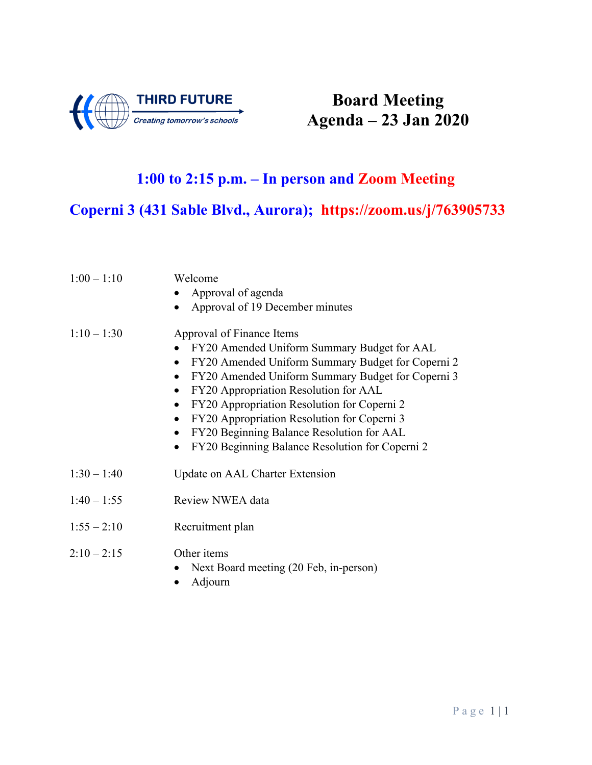

# **Board Meeting Agenda – 23 Jan 2020**

### **1:00 to 2:15 p.m. – In person and Zoom Meeting**

## **Coperni 3 (431 Sable Blvd., Aurora); https://zoom.us/j/763905733**

| $1:00 - 1:10$ | Welcome<br>Approval of agenda<br>Approval of 19 December minutes<br>$\bullet$                                                                                                                                                                                                                                                                                                                                                                                                                                                     |
|---------------|-----------------------------------------------------------------------------------------------------------------------------------------------------------------------------------------------------------------------------------------------------------------------------------------------------------------------------------------------------------------------------------------------------------------------------------------------------------------------------------------------------------------------------------|
| $1:10 - 1:30$ | Approval of Finance Items<br>FY20 Amended Uniform Summary Budget for AAL<br>$\bullet$<br>FY20 Amended Uniform Summary Budget for Coperni 2<br>$\bullet$<br>FY20 Amended Uniform Summary Budget for Coperni 3<br>$\bullet$<br>FY20 Appropriation Resolution for AAL<br>$\bullet$<br>FY20 Appropriation Resolution for Coperni 2<br>$\bullet$<br>FY20 Appropriation Resolution for Coperni 3<br>$\bullet$<br>FY20 Beginning Balance Resolution for AAL<br>$\bullet$<br>FY20 Beginning Balance Resolution for Coperni 2<br>$\bullet$ |
| $1:30 - 1:40$ | Update on AAL Charter Extension                                                                                                                                                                                                                                                                                                                                                                                                                                                                                                   |
| $1:40 - 1:55$ | Review NWEA data                                                                                                                                                                                                                                                                                                                                                                                                                                                                                                                  |
| $1:55 - 2:10$ | Recruitment plan                                                                                                                                                                                                                                                                                                                                                                                                                                                                                                                  |
| $2:10 - 2:15$ | Other items<br>Next Board meeting (20 Feb, in-person)                                                                                                                                                                                                                                                                                                                                                                                                                                                                             |

• Adjourn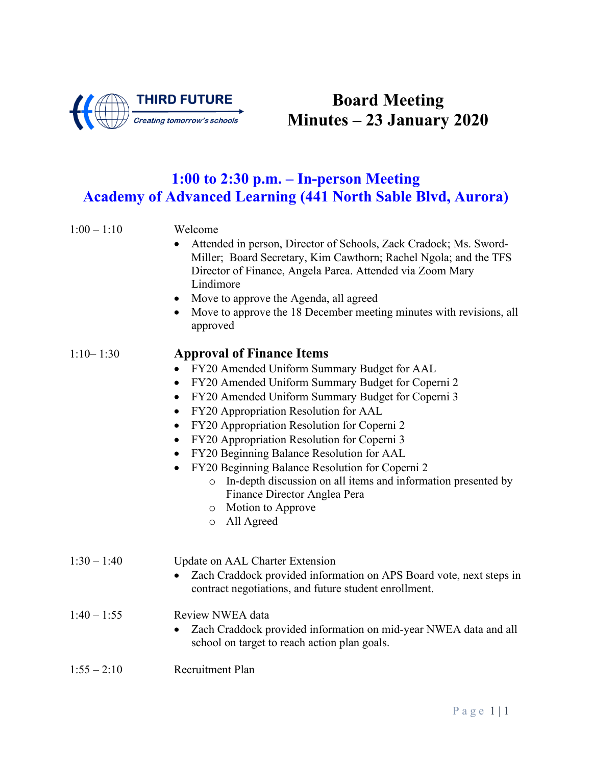

## **Board Meeting Minutes – 23 January 2020**

## **1:00 to 2:30 p.m. – In-person Meeting Academy of Advanced Learning (441 North Sable Blvd, Aurora)**

| $1:00 - 1:10$ | Welcome<br>Attended in person, Director of Schools, Zack Cradock; Ms. Sword-<br>Miller; Board Secretary, Kim Cawthorn; Rachel Ngola; and the TFS<br>Director of Finance, Angela Parea. Attended via Zoom Mary<br>Lindimore<br>Move to approve the Agenda, all agreed<br>$\bullet$<br>Move to approve the 18 December meeting minutes with revisions, all<br>$\bullet$<br>approved                                                                                                                                                                                                                                                                                                       |
|---------------|-----------------------------------------------------------------------------------------------------------------------------------------------------------------------------------------------------------------------------------------------------------------------------------------------------------------------------------------------------------------------------------------------------------------------------------------------------------------------------------------------------------------------------------------------------------------------------------------------------------------------------------------------------------------------------------------|
| $1:10 - 1:30$ | <b>Approval of Finance Items</b><br>FY20 Amended Uniform Summary Budget for AAL<br>FY20 Amended Uniform Summary Budget for Coperni 2<br>$\bullet$<br>FY20 Amended Uniform Summary Budget for Coperni 3<br>$\bullet$<br>FY20 Appropriation Resolution for AAL<br>$\bullet$<br>FY20 Appropriation Resolution for Coperni 2<br>$\bullet$<br>FY20 Appropriation Resolution for Coperni 3<br>$\bullet$<br>FY20 Beginning Balance Resolution for AAL<br>$\bullet$<br>FY20 Beginning Balance Resolution for Coperni 2<br>$\bullet$<br>In-depth discussion on all items and information presented by<br>$\circ$<br>Finance Director Anglea Pera<br>o Motion to Approve<br>All Agreed<br>$\circ$ |
| $1:30 - 1:40$ | Update on AAL Charter Extension<br>Zach Craddock provided information on APS Board vote, next steps in<br>contract negotiations, and future student enrollment.                                                                                                                                                                                                                                                                                                                                                                                                                                                                                                                         |
| $1:40 - 1:55$ | Review NWEA data<br>Zach Craddock provided information on mid-year NWEA data and all<br>$\bullet$<br>school on target to reach action plan goals.                                                                                                                                                                                                                                                                                                                                                                                                                                                                                                                                       |
| $1:55 - 2:10$ | Recruitment Plan                                                                                                                                                                                                                                                                                                                                                                                                                                                                                                                                                                                                                                                                        |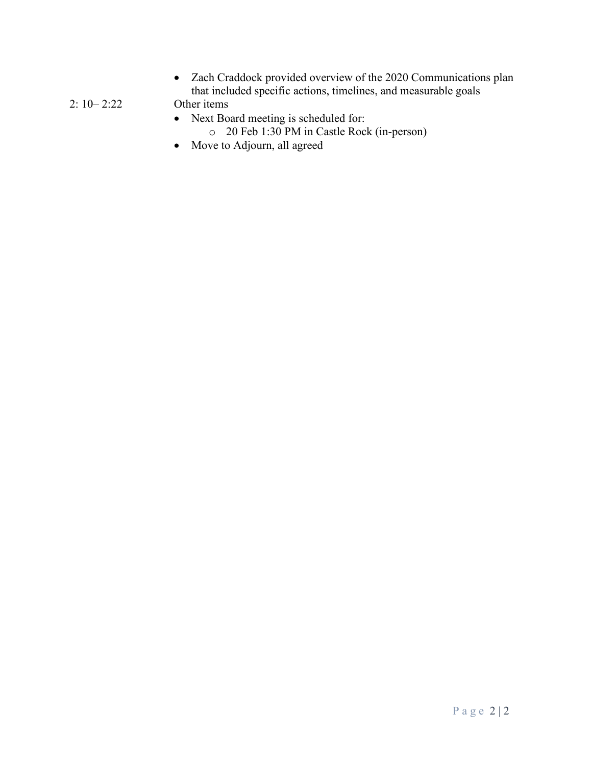• Zach Craddock provided overview of the 2020 Communications plan that included specific actions, timelines, and measurable goals

2: 10– 2:22 Other items

- Next Board meeting is scheduled for:
	- o 20 Feb 1:30 PM in Castle Rock (in-person)
- Move to Adjourn, all agreed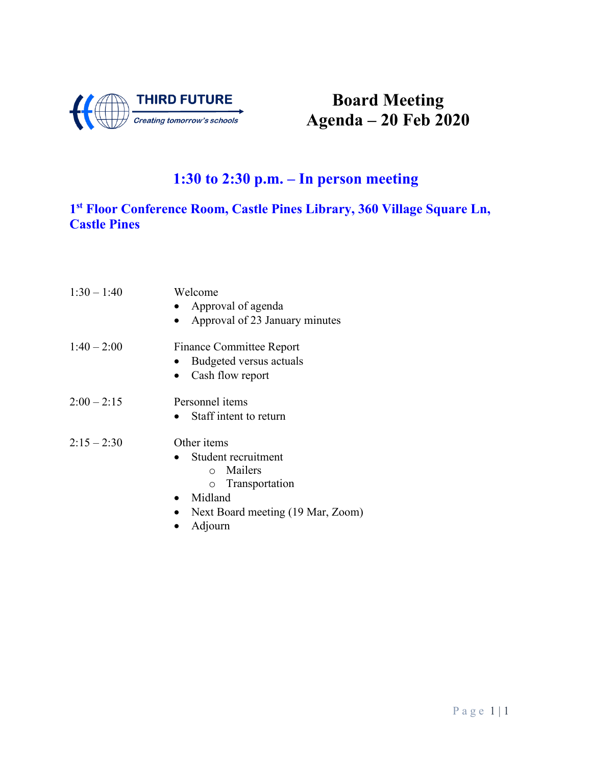

# **Board Meeting Agenda – 20 Feb 2020**

## **1:30 to 2:30 p.m. – In person meeting**

### **1st Floor Conference Room, Castle Pines Library, 360 Village Square Ln, Castle Pines**

| $1:30 - 1:40$ | Welcome<br>• Approval of agenda<br>Approval of 23 January minutes                                                                     |
|---------------|---------------------------------------------------------------------------------------------------------------------------------------|
| $1:40 - 2:00$ | <b>Finance Committee Report</b><br>Budgeted versus actuals<br>Cash flow report                                                        |
| $2:00 - 2:15$ | Personnel items<br>• Staff intent to return                                                                                           |
| $2:15 - 2:30$ | Other <i>items</i><br>Student recruitment<br>o Mailers<br>o Transportation<br>Midland<br>Next Board meeting (19 Mar, Zoom)<br>Adjourn |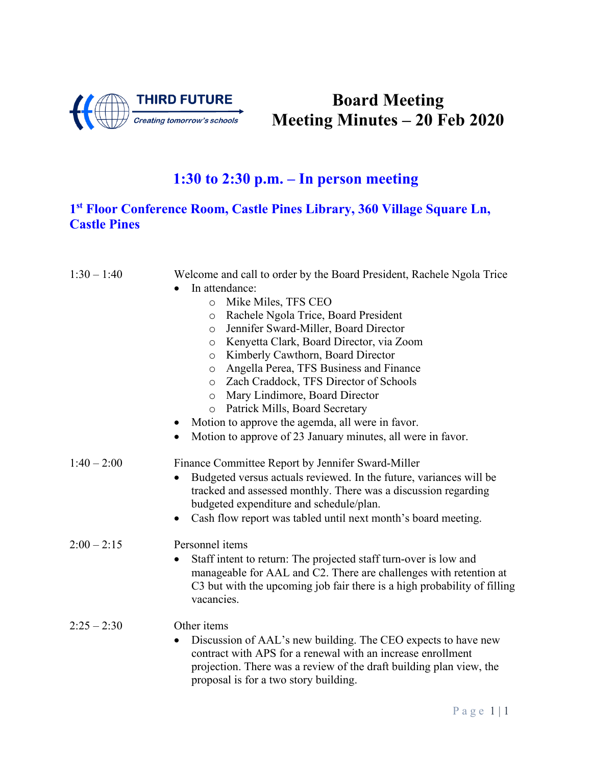

# **Board Meeting Meeting Minutes – 20 Feb 2020**

## **1:30 to 2:30 p.m. – In person meeting**

#### **1st Floor Conference Room, Castle Pines Library, 360 Village Square Ln, Castle Pines**

| $1:30 - 1:40$ | Welcome and call to order by the Board President, Rachele Ngola Trice                                                                                                                                                                        |
|---------------|----------------------------------------------------------------------------------------------------------------------------------------------------------------------------------------------------------------------------------------------|
|               | In attendance:                                                                                                                                                                                                                               |
|               | Mike Miles, TFS CEO<br>$\circ$                                                                                                                                                                                                               |
|               | Rachele Ngola Trice, Board President<br>$\circ$                                                                                                                                                                                              |
|               | Jennifer Sward-Miller, Board Director<br>$\circ$                                                                                                                                                                                             |
|               | Kenyetta Clark, Board Director, via Zoom<br>$\circ$                                                                                                                                                                                          |
|               | Kimberly Cawthorn, Board Director<br>$\circ$                                                                                                                                                                                                 |
|               | Angella Perea, TFS Business and Finance<br>O                                                                                                                                                                                                 |
|               | Zach Craddock, TFS Director of Schools<br>$\circ$                                                                                                                                                                                            |
|               | Mary Lindimore, Board Director<br>$\circ$                                                                                                                                                                                                    |
|               | Patrick Mills, Board Secretary<br>$\circ$                                                                                                                                                                                                    |
|               | Motion to approve the agemda, all were in favor.                                                                                                                                                                                             |
|               | Motion to approve of 23 January minutes, all were in favor.                                                                                                                                                                                  |
| $1:40 - 2:00$ | Finance Committee Report by Jennifer Sward-Miller                                                                                                                                                                                            |
|               | Budgeted versus actuals reviewed. In the future, variances will be                                                                                                                                                                           |
|               | tracked and assessed monthly. There was a discussion regarding                                                                                                                                                                               |
|               | budgeted expenditure and schedule/plan.                                                                                                                                                                                                      |
|               | Cash flow report was tabled until next month's board meeting.<br>$\bullet$                                                                                                                                                                   |
| $2:00 - 2:15$ | Personnel items                                                                                                                                                                                                                              |
|               | Staff intent to return: The projected staff turn-over is low and<br>$\bullet$<br>manageable for AAL and C2. There are challenges with retention at<br>C3 but with the upcoming job fair there is a high probability of filling<br>vacancies. |
| $2:25 - 2:30$ | Other items                                                                                                                                                                                                                                  |
|               | Discussion of AAL's new building. The CEO expects to have new<br>contract with APS for a renewal with an increase enrollment<br>projection. There was a review of the draft building plan view, the<br>proposal is for a two story building. |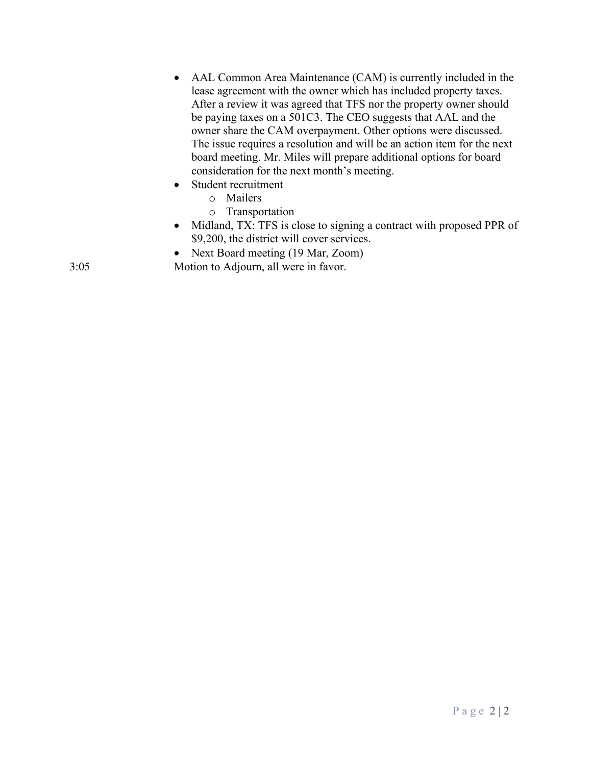- AAL Common Area Maintenance (CAM) is currently included in the lease agreement with the owner which has included property taxes. After a review it was agreed that TFS nor the property owner should be paying taxes on a 501C3. The CEO suggests that AAL and the owner share the CAM overpayment. Other options were discussed. The issue requires a resolution and will be an action item for the next board meeting. Mr. Miles will prepare additional options for board consideration for the next month's meeting. • Student recruitment
	- o Mailers
	- o Transportation
	- Midland, TX: TFS is close to signing a contract with proposed PPR of \$9,200, the district will cover services.
	- Next Board meeting (19 Mar, Zoom)

3:05 Motion to Adjourn, all were in favor.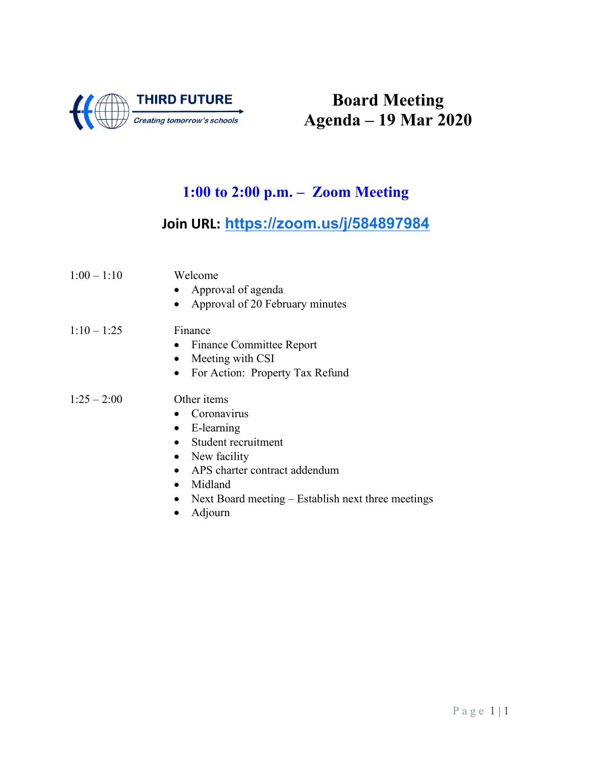

# **Board Meeting Agenda – 19 Mar 2020**

## **1:00 to 2:00 p.m. – Zoom Meeting**

### **Join URL: <https://zoom.us/j/584897984>**

| $1:00 - 1:10$ | Welcome<br>• Approval of agenda<br>Approval of 20 February minutes                                                                                                      |
|---------------|-------------------------------------------------------------------------------------------------------------------------------------------------------------------------|
| $1:10 - 1:25$ | Finance<br>• Finance Committee Report<br>Meeting with CSI<br>$\bullet$<br>• For Action: Property Tax Refund                                                             |
| $1:25 - 2:00$ | Other <i>items</i><br>$\bullet$ Coronavirus<br>$\bullet$ E-learning<br>• Student recruitment<br>• New facility<br>APS charter contract addendum<br>$\bullet$<br>Midland |

- Next Board meeting Establish next three meetings
- Adjourn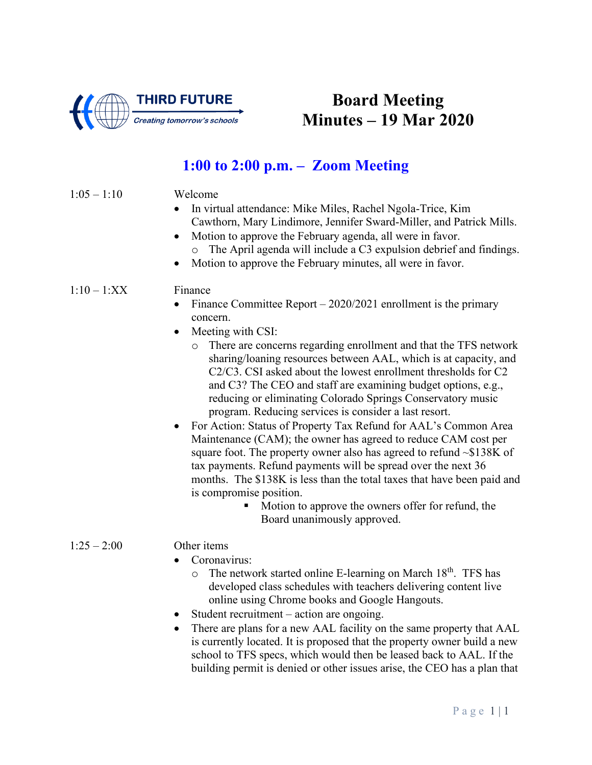

## **Board Meeting Minutes – 19 Mar 2020**

### **1:00 to 2:00 p.m. – Zoom Meeting**

#### $1:05 - 1:10$  Welcome

- In virtual attendance: Mike Miles, Rachel Ngola-Trice, Kim Cawthorn, Mary Lindimore, Jennifer Sward-Miller, and Patrick Mills.
- Motion to approve the February agenda, all were in favor. o The April agenda will include a C3 expulsion debrief and findings.
- Motion to approve the February minutes, all were in favor.

#### $1:10-1:XX$  Finance

- Finance Committee Report 2020/2021 enrollment is the primary concern.
- Meeting with CSI:
	- o There are concerns regarding enrollment and that the TFS network sharing/loaning resources between AAL, which is at capacity, and C2/C3. CSI asked about the lowest enrollment thresholds for C2 and C3? The CEO and staff are examining budget options, e.g., reducing or eliminating Colorado Springs Conservatory music program. Reducing services is consider a last resort.
- For Action: Status of Property Tax Refund for AAL's Common Area Maintenance (CAM); the owner has agreed to reduce CAM cost per square foot. The property owner also has agreed to refund  $\sim$ \$138K of tax payments. Refund payments will be spread over the next 36 months. The \$138K is less than the total taxes that have been paid and is compromise position.
	- Motion to approve the owners offer for refund, the Board unanimously approved.

#### $1:25-2:00$  Other items

- Coronavirus:
	- $\circ$  The network started online E-learning on March 18<sup>th</sup>. TFS has developed class schedules with teachers delivering content live online using Chrome books and Google Hangouts.
- Student recruitment action are ongoing.
- There are plans for a new AAL facility on the same property that AAL is currently located. It is proposed that the property owner build a new school to TFS specs, which would then be leased back to AAL. If the building permit is denied or other issues arise, the CEO has a plan that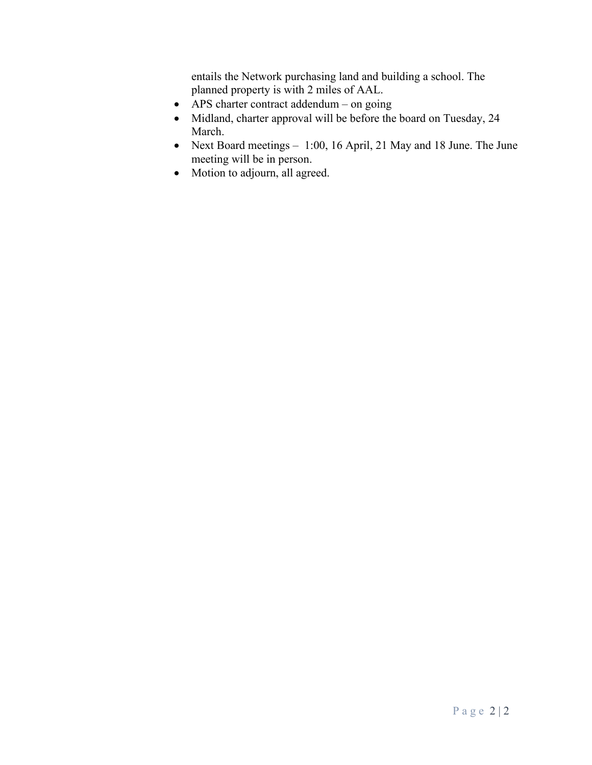entails the Network purchasing land and building a school. The planned property is with 2 miles of AAL.

- APS charter contract addendum on going
- Midland, charter approval will be before the board on Tuesday, 24 March.
- Next Board meetings 1:00, 16 April, 21 May and 18 June. The June meeting will be in person.
- Motion to adjourn, all agreed.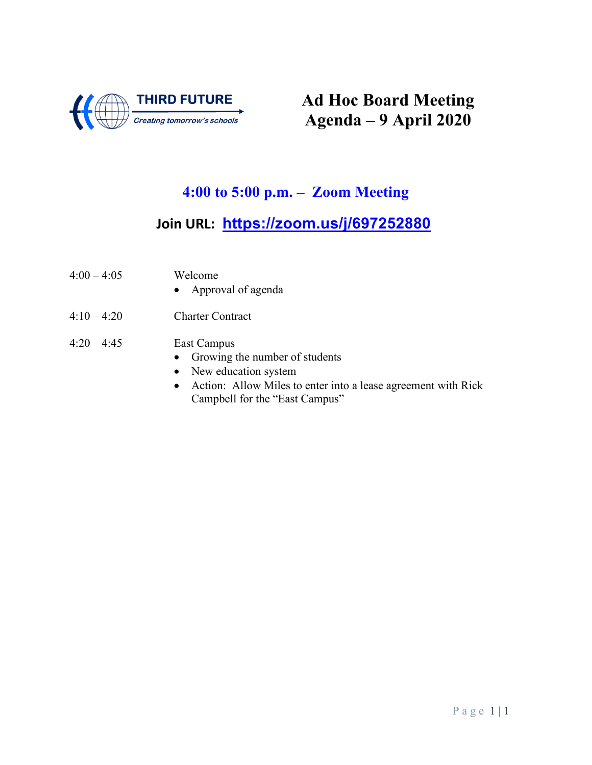

# **Ad Hoc Board Meeting Agenda – 9 April 2020**

## **4:00 to 5:00 p.m. – Zoom Meeting**

## **Join URL: <https://zoom.us/j/697252880>**

| $4:00 - 4:05$ | Welcome<br>• Approval of agenda                                                                                                              |
|---------------|----------------------------------------------------------------------------------------------------------------------------------------------|
| $4:10 - 4:20$ | <b>Charter Contract</b>                                                                                                                      |
| $4:20 - 4:45$ | East Campus<br>• Growing the number of students<br>• New education system<br>• Action: Allow Miles to enter into a lease agreement with Rick |

Campbell for the "East Campus"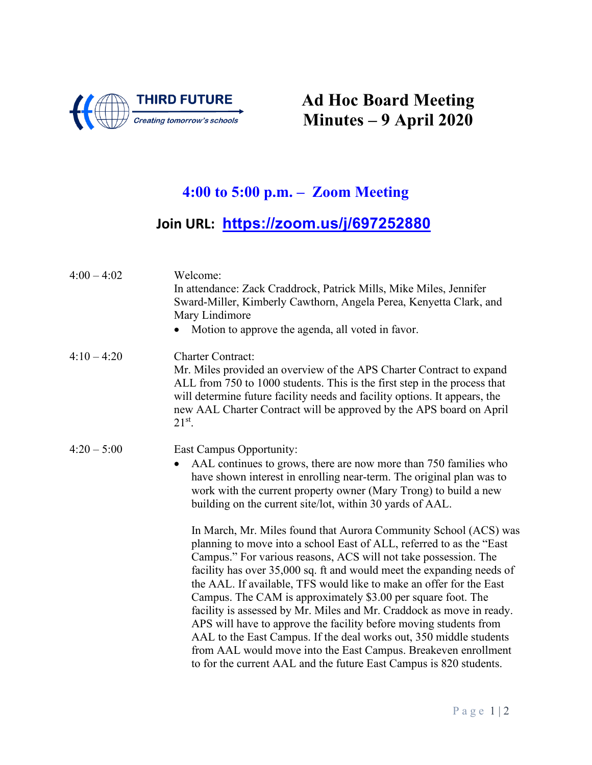

# **Ad Hoc Board Meeting Minutes – 9 April 2020**

## **4:00 to 5:00 p.m. – Zoom Meeting**

## **Join URL: <https://zoom.us/j/697252880>**

| $4:00 - 4:02$ | Welcome:<br>In attendance: Zack Craddrock, Patrick Mills, Mike Miles, Jennifer<br>Sward-Miller, Kimberly Cawthorn, Angela Perea, Kenyetta Clark, and<br>Mary Lindimore<br>Motion to approve the agenda, all voted in favor.                                                                                                                                                                                                                                                                                                                                                                                                                                                                                                                                                                                                                                                                                                                                           |
|---------------|-----------------------------------------------------------------------------------------------------------------------------------------------------------------------------------------------------------------------------------------------------------------------------------------------------------------------------------------------------------------------------------------------------------------------------------------------------------------------------------------------------------------------------------------------------------------------------------------------------------------------------------------------------------------------------------------------------------------------------------------------------------------------------------------------------------------------------------------------------------------------------------------------------------------------------------------------------------------------|
| $4:10 - 4:20$ | <b>Charter Contract:</b><br>Mr. Miles provided an overview of the APS Charter Contract to expand<br>ALL from 750 to 1000 students. This is the first step in the process that<br>will determine future facility needs and facility options. It appears, the<br>new AAL Charter Contract will be approved by the APS board on April<br>$21^{st}$ .                                                                                                                                                                                                                                                                                                                                                                                                                                                                                                                                                                                                                     |
| $4:20 - 5:00$ | East Campus Opportunity:<br>AAL continues to grows, there are now more than 750 families who<br>$\bullet$<br>have shown interest in enrolling near-term. The original plan was to<br>work with the current property owner (Mary Trong) to build a new<br>building on the current site/lot, within 30 yards of AAL.<br>In March, Mr. Miles found that Aurora Community School (ACS) was<br>planning to move into a school East of ALL, referred to as the "East"<br>Campus." For various reasons, ACS will not take possession. The<br>facility has over 35,000 sq. ft and would meet the expanding needs of<br>the AAL. If available, TFS would like to make an offer for the East<br>Campus. The CAM is approximately \$3.00 per square foot. The<br>facility is assessed by Mr. Miles and Mr. Craddock as move in ready.<br>APS will have to approve the facility before moving students from<br>AAL to the East Campus. If the deal works out, 350 middle students |
|               | from AAL would move into the East Campus. Breakeven enrollment<br>to for the current AAL and the future East Campus is 820 students.                                                                                                                                                                                                                                                                                                                                                                                                                                                                                                                                                                                                                                                                                                                                                                                                                                  |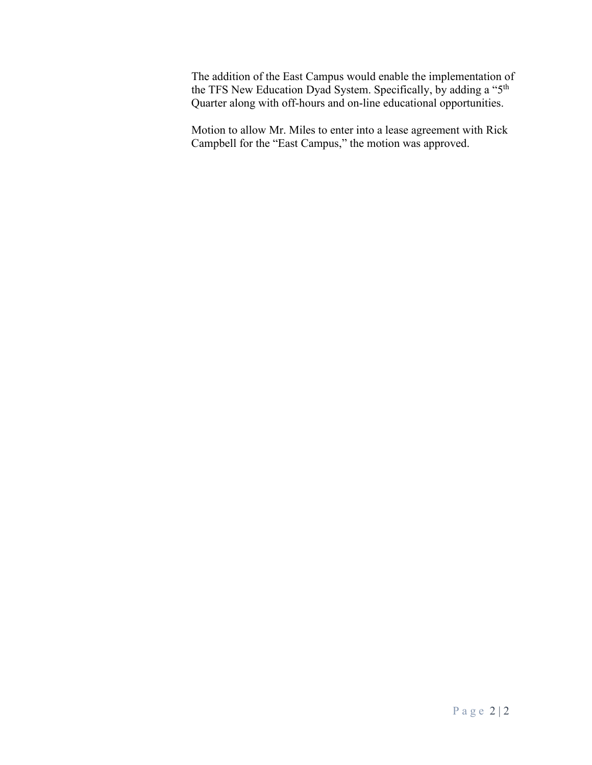The addition of the East Campus would enable the implementation of the TFS New Education Dyad System. Specifically, by adding a "5<sup>th</sup> Quarter along with off-hours and on-line educational opportunities.

Motion to allow Mr. Miles to enter into a lease agreement with Rick Campbell for the "East Campus," the motion was approved.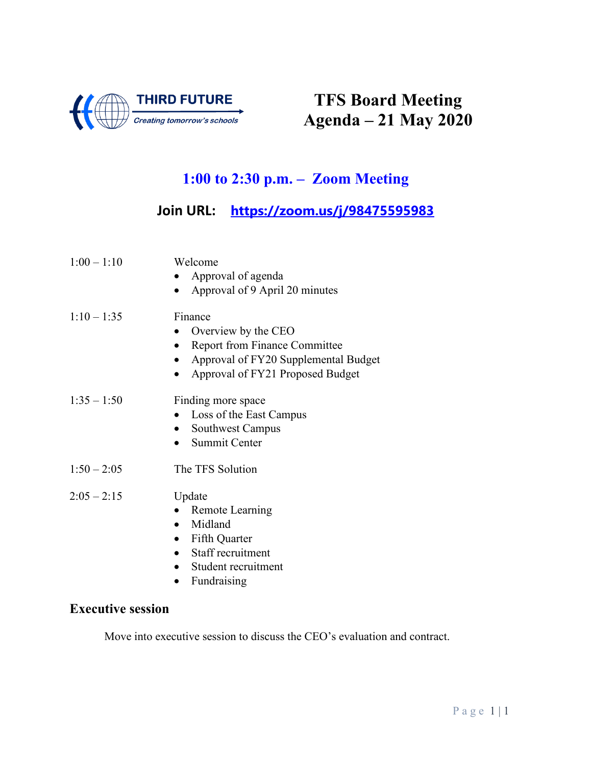

# **TFS Board Meeting Agenda – 21 May 2020**

## **1:00 to 2:30 p.m. – Zoom Meeting**

### **Join URL: <https://zoom.us/j/98475595983>**

| $1:00 - 1:10$ | Welcome<br>Approval of agenda<br>Approval of 9 April 20 minutes<br>$\bullet$                                                                                    |
|---------------|-----------------------------------------------------------------------------------------------------------------------------------------------------------------|
| $1:10 - 1:35$ | Finance<br>Overview by the CEO<br><b>Report from Finance Committee</b><br>$\bullet$<br>Approval of FY20 Supplemental Budget<br>Approval of FY21 Proposed Budget |
| $1:35 - 1:50$ | Finding more space<br>Loss of the East Campus<br>Southwest Campus<br><b>Summit Center</b>                                                                       |
| $1:50 - 2:05$ | The TFS Solution                                                                                                                                                |
| $2:05 - 2:15$ | Update<br>Remote Learning<br>Midland<br>Fifth Quarter<br>$\bullet$<br>Staff recruitment<br>Student recruitment<br>Fundraising<br>$\bullet$                      |

#### **Executive session**

Move into executive session to discuss the CEO's evaluation and contract.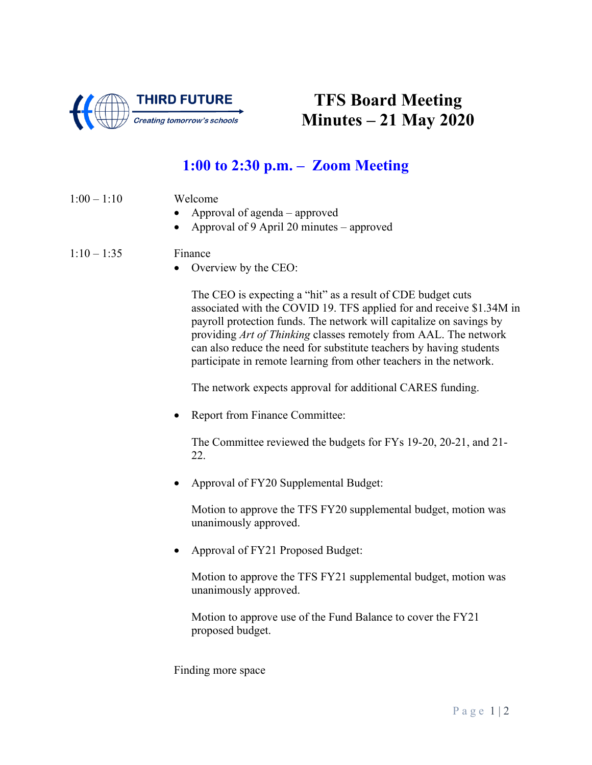

## **TFS Board Meeting Minutes – 21 May 2020**

### **1:00 to 2:30 p.m. – Zoom Meeting**

- 1:00 1:10 Welcome
	- Approval of agenda approved
	- Approval of 9 April 20 minutes approved

#### $1:10 - 1:35$  Finance

• Overview by the CEO:

The CEO is expecting a "hit" as a result of CDE budget cuts associated with the COVID 19. TFS applied for and receive \$1.34M in payroll protection funds. The network will capitalize on savings by providing *Art of Thinking* classes remotely from AAL. The network can also reduce the need for substitute teachers by having students participate in remote learning from other teachers in the network.

The network expects approval for additional CARES funding.

Report from Finance Committee:

The Committee reviewed the budgets for FYs 19-20, 20-21, and 21- 22.

• Approval of FY20 Supplemental Budget:

Motion to approve the TFS FY20 supplemental budget, motion was unanimously approved.

• Approval of FY21 Proposed Budget:

Motion to approve the TFS FY21 supplemental budget, motion was unanimously approved.

Motion to approve use of the Fund Balance to cover the FY21 proposed budget.

Finding more space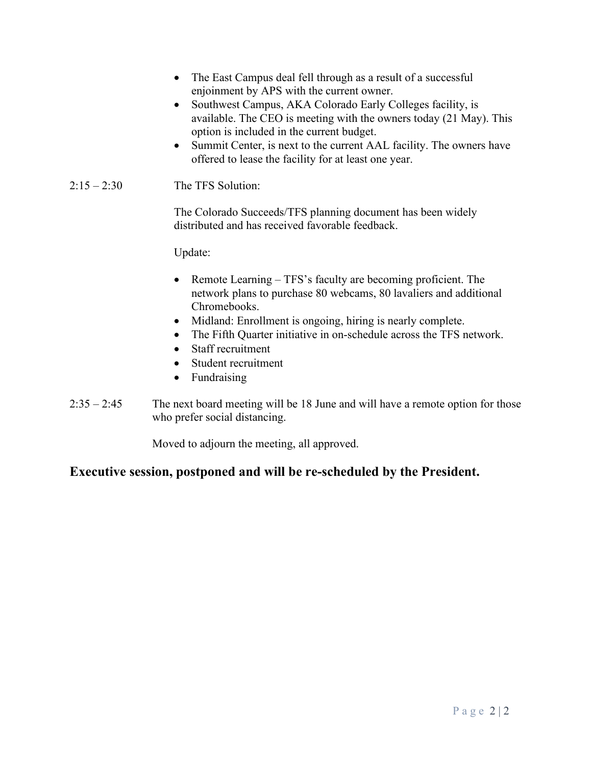- The East Campus deal fell through as a result of a successful enjoinment by APS with the current owner. • Southwest Campus, AKA Colorado Early Colleges facility, is available. The CEO is meeting with the owners today (21 May). This option is included in the current budget. • Summit Center, is next to the current AAL facility. The owners have offered to lease the facility for at least one year. 2:15 – 2:30 The TFS Solution: The Colorado Succeeds/TFS planning document has been widely distributed and has received favorable feedback. Update: • Remote Learning – TFS's faculty are becoming proficient. The network plans to purchase 80 webcams, 80 lavaliers and additional Chromebooks. • Midland: Enrollment is ongoing, hiring is nearly complete.
	- The Fifth Quarter initiative in on-schedule across the TFS network.
	- Staff recruitment
	- Student recruitment
	- Fundraising
- 2:35 2:45 The next board meeting will be 18 June and will have a remote option for those who prefer social distancing.

Moved to adjourn the meeting, all approved.

#### **Executive session, postponed and will be re-scheduled by the President.**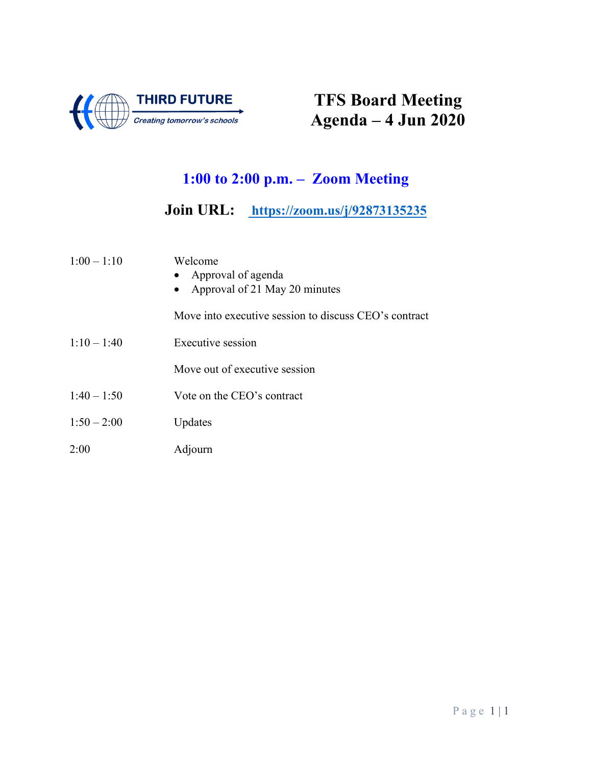

# **TFS Board Meeting Agenda – 4 Jun 2020**

## **1:00 to 2:00 p.m. – Zoom Meeting**

**Join URL: <https://zoom.us/j/92873135235>**

| $1:00 - 1:10$ | Welcome<br>• Approval of agenda<br>Approval of 21 May 20 minutes |
|---------------|------------------------------------------------------------------|
|               | Move into executive session to discuss CEO's contract            |
| $1:10 - 1:40$ | Executive session                                                |
|               | Move out of executive session                                    |
| $1:40 - 1:50$ | Vote on the CEO's contract                                       |
| $1:50 - 2:00$ | Updates                                                          |
| 2:00          | Adjourn                                                          |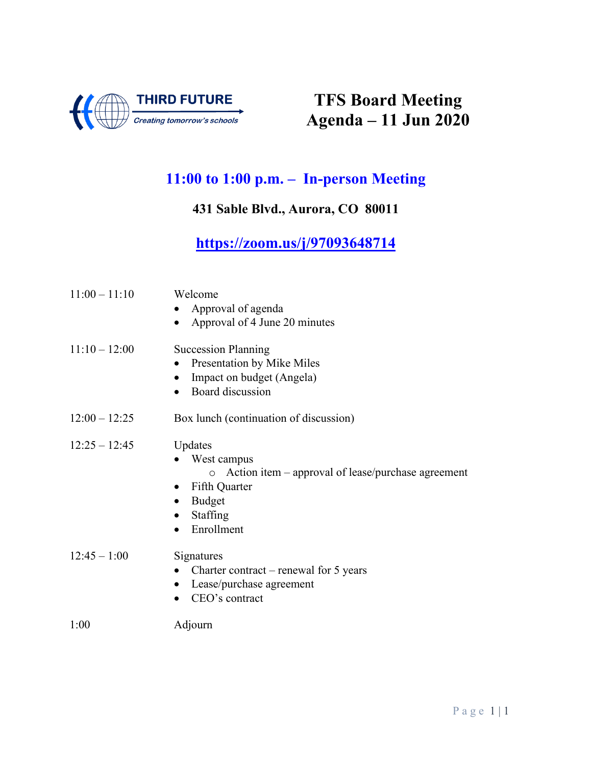

# **TFS Board Meeting Agenda – 11 Jun 2020**

### **11:00 to 1:00 p.m. – In-person Meeting**

### **431 Sable Blvd., Aurora, CO 80011**

### **<https://zoom.us/j/97093648714>**

| $11:00 - 11:10$ | Welcome<br>Approval of agenda<br>Approval of 4 June 20 minutes                                                                                                                  |
|-----------------|---------------------------------------------------------------------------------------------------------------------------------------------------------------------------------|
| $11:10 - 12:00$ | <b>Succession Planning</b><br>Presentation by Mike Miles<br>Impact on budget (Angela)<br>Board discussion<br>$\bullet$                                                          |
| $12:00 - 12:25$ | Box lunch (continuation of discussion)                                                                                                                                          |
| $12:25 - 12:45$ | Updates<br>West campus<br>Action item – approval of lease/purchase agreement<br>$\circ$<br>• Fifth Quarter<br><b>Budget</b><br>$\bullet$<br>Staffing<br>$\bullet$<br>Enrollment |
| $12:45 - 1:00$  | Signatures<br>Charter contract – renewal for $5$ years<br>Lease/purchase agreement<br>CEO's contract                                                                            |
| 1:00            | Adjourn                                                                                                                                                                         |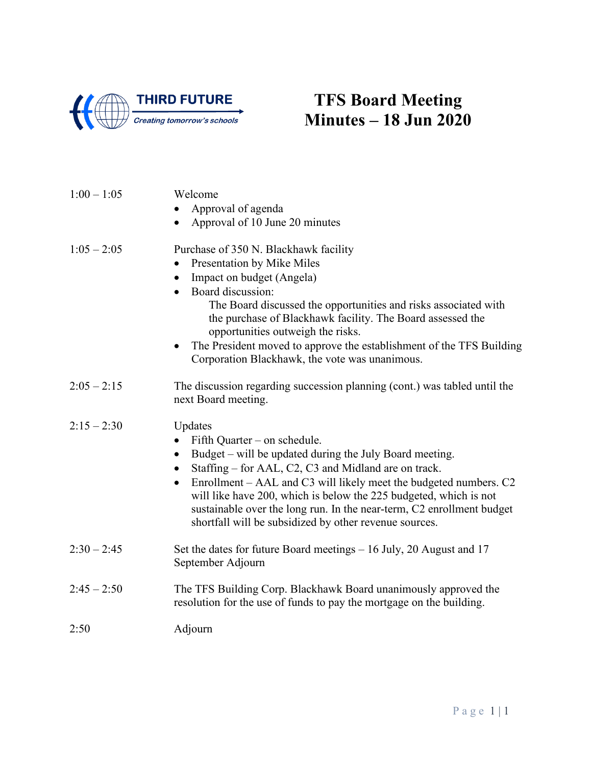

## **TFS Board Meeting Minutes – 18 Jun 2020**

| $1:00 - 1:05$ | Welcome                                                                                                                                                                                                                                                                                |
|---------------|----------------------------------------------------------------------------------------------------------------------------------------------------------------------------------------------------------------------------------------------------------------------------------------|
|               | Approval of agenda                                                                                                                                                                                                                                                                     |
|               | Approval of 10 June 20 minutes                                                                                                                                                                                                                                                         |
| $1:05 - 2:05$ | Purchase of 350 N. Blackhawk facility                                                                                                                                                                                                                                                  |
|               | Presentation by Mike Miles                                                                                                                                                                                                                                                             |
|               | Impact on budget (Angela)                                                                                                                                                                                                                                                              |
|               | Board discussion:                                                                                                                                                                                                                                                                      |
|               | The Board discussed the opportunities and risks associated with<br>the purchase of Blackhawk facility. The Board assessed the<br>opportunities outweigh the risks.                                                                                                                     |
|               | The President moved to approve the establishment of the TFS Building<br>Corporation Blackhawk, the vote was unanimous.                                                                                                                                                                 |
| $2:05 - 2:15$ | The discussion regarding succession planning (cont.) was tabled until the<br>next Board meeting.                                                                                                                                                                                       |
| $2:15 - 2:30$ | Updates                                                                                                                                                                                                                                                                                |
|               | Fifth Quarter – on schedule.                                                                                                                                                                                                                                                           |
|               | Budget – will be updated during the July Board meeting.<br>$\bullet$<br>Staffing – for AAL, C2, C3 and Midland are on track.                                                                                                                                                           |
|               | Enrollment – AAL and C3 will likely meet the budgeted numbers. C2<br>$\bullet$<br>will like have 200, which is below the 225 budgeted, which is not<br>sustainable over the long run. In the near-term, C2 enrollment budget<br>shortfall will be subsidized by other revenue sources. |
| $2:30 - 2:45$ | Set the dates for future Board meetings $-16$ July, 20 August and 17<br>September Adjourn                                                                                                                                                                                              |
| $2:45 - 2:50$ | The TFS Building Corp. Blackhawk Board unanimously approved the<br>resolution for the use of funds to pay the mortgage on the building.                                                                                                                                                |
| 2:50          | Adjourn                                                                                                                                                                                                                                                                                |
|               |                                                                                                                                                                                                                                                                                        |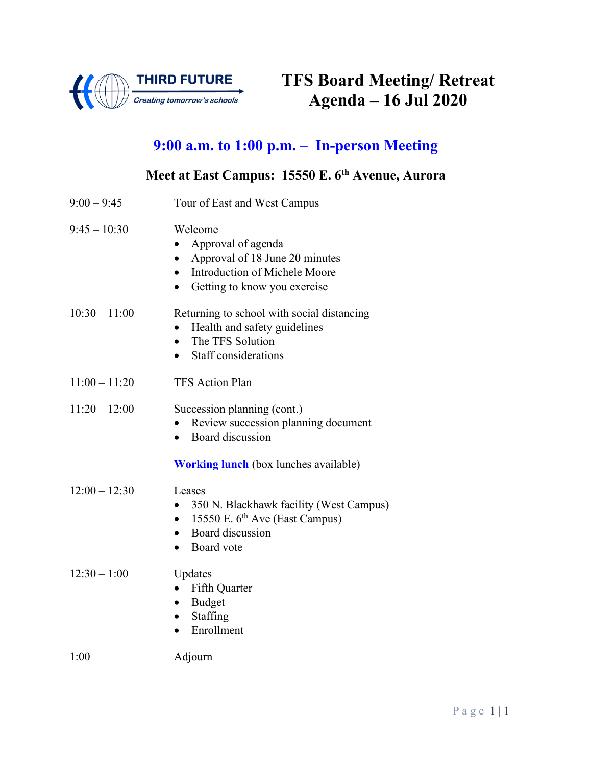

## **9:00 a.m. to 1:00 p.m. – In-person Meeting**

# **Meet at East Campus: 15550 E. 6th Avenue, Aurora**

| $9:00 - 9:45$   | Tour of East and West Campus                                                                                                                               |
|-----------------|------------------------------------------------------------------------------------------------------------------------------------------------------------|
| $9:45 - 10:30$  | Welcome<br>Approval of agenda<br>Approval of 18 June 20 minutes<br>$\bullet$<br>Introduction of Michele Moore<br>Getting to know you exercise<br>$\bullet$ |
| $10:30 - 11:00$ | Returning to school with social distancing<br>Health and safety guidelines<br>The TFS Solution<br>Staff considerations                                     |
| $11:00 - 11:20$ | <b>TFS Action Plan</b>                                                                                                                                     |
| $11:20 - 12:00$ | Succession planning (cont.)<br>Review succession planning document<br>Board discussion<br><b>Working lunch</b> (box lunches available)                     |
| $12:00 - 12:30$ | Leases<br>350 N. Blackhawk facility (West Campus)<br>15550 E. 6 <sup>th</sup> Ave (East Campus)<br>$\bullet$<br>Board discussion<br>Board vote             |
| $12:30 - 1:00$  | Updates<br>Fifth Quarter<br><b>Budget</b><br>Staffing<br>$\bullet$<br>Enrollment                                                                           |
| 1:00            | Adjourn                                                                                                                                                    |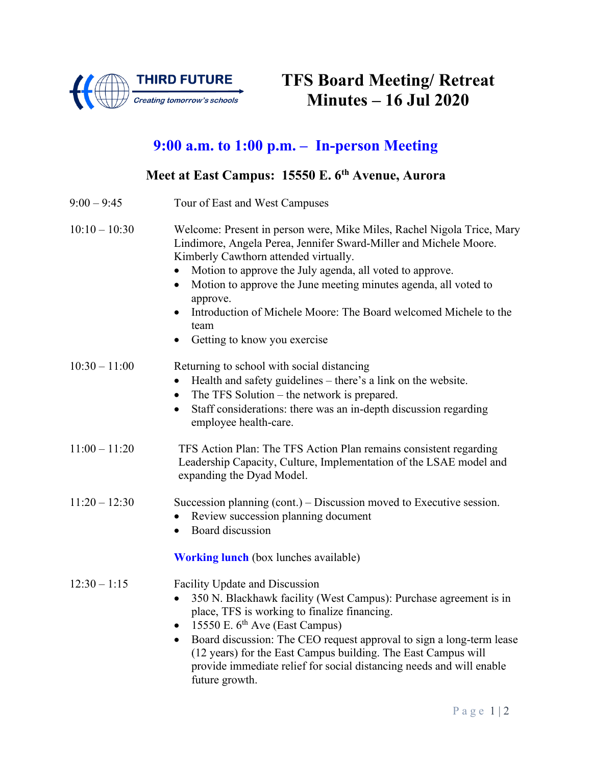

## **9:00 a.m. to 1:00 p.m. – In-person Meeting**

### **Meet at East Campus: 15550 E. 6th Avenue, Aurora**

| $9:00 - 9:45$   | Tour of East and West Campuses                                                                                                                                                                                                                                                                                                                                                                                                                                        |
|-----------------|-----------------------------------------------------------------------------------------------------------------------------------------------------------------------------------------------------------------------------------------------------------------------------------------------------------------------------------------------------------------------------------------------------------------------------------------------------------------------|
| $10:10 - 10:30$ | Welcome: Present in person were, Mike Miles, Rachel Nigola Trice, Mary<br>Lindimore, Angela Perea, Jennifer Sward-Miller and Michele Moore.<br>Kimberly Cawthorn attended virtually.<br>Motion to approve the July agenda, all voted to approve.<br>Motion to approve the June meeting minutes agenda, all voted to<br>$\bullet$<br>approve.<br>Introduction of Michele Moore: The Board welcomed Michele to the<br>team<br>Getting to know you exercise<br>$\bullet$ |
| $10:30 - 11:00$ | Returning to school with social distancing<br>Health and safety guidelines – there's a link on the website.<br>$\bullet$<br>The TFS Solution – the network is prepared.<br>$\bullet$<br>Staff considerations: there was an in-depth discussion regarding<br>$\bullet$<br>employee health-care.                                                                                                                                                                        |
| $11:00 - 11:20$ | TFS Action Plan: The TFS Action Plan remains consistent regarding<br>Leadership Capacity, Culture, Implementation of the LSAE model and<br>expanding the Dyad Model.                                                                                                                                                                                                                                                                                                  |
| $11:20 - 12:30$ | Succession planning $(cont.) - Discussion$ moved to Executive session.<br>Review succession planning document<br>Board discussion                                                                                                                                                                                                                                                                                                                                     |
|                 | <b>Working lunch</b> (box lunches available)                                                                                                                                                                                                                                                                                                                                                                                                                          |
| $12:30 - 1:15$  | Facility Update and Discussion<br>350 N. Blackhawk facility (West Campus): Purchase agreement is in<br>$\bullet$<br>place, TFS is working to finalize financing.<br>15550 E. $6th$ Ave (East Campus)<br>$\bullet$<br>Board discussion: The CEO request approval to sign a long-term lease<br>$\bullet$<br>(12 years) for the East Campus building. The East Campus will<br>provide immediate relief for social distancing needs and will enable<br>future growth.     |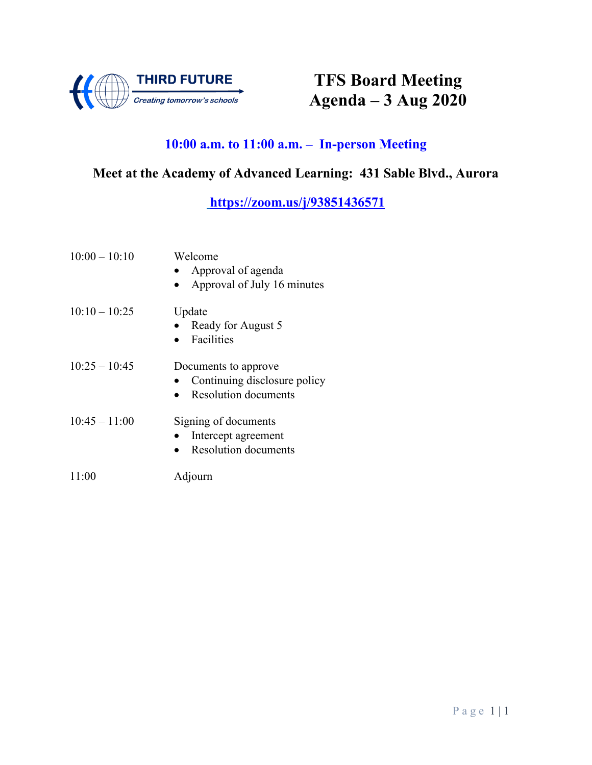

# **TFS Board Meeting Agenda – 3 Aug 2020**

### **10:00 a.m. to 11:00 a.m. – In-person Meeting**

### **Meet at the Academy of Advanced Learning: 431 Sable Blvd., Aurora**

#### **<https://zoom.us/j/93851436571>**

| $10:00 - 10:10$ | Welcome<br>Approval of agenda<br>Approval of July 16 minutes                        |
|-----------------|-------------------------------------------------------------------------------------|
| $10:10 - 10:25$ | Update<br>Ready for August 5<br>Facilities                                          |
| $10:25 - 10:45$ | Documents to approve<br>Continuing disclosure policy<br><b>Resolution documents</b> |
| $10:45 - 11:00$ | Signing of documents<br>Intercept agreement<br><b>Resolution documents</b>          |
| 11:00           | Adjourn                                                                             |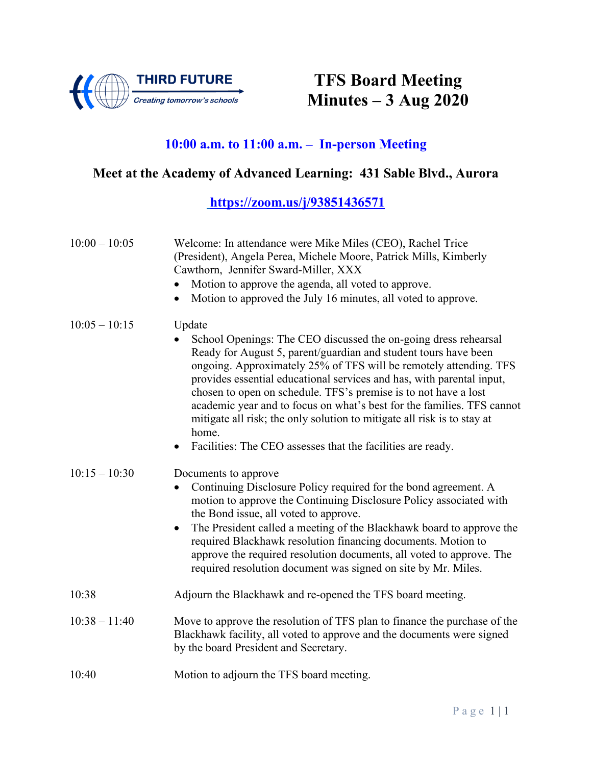

# **TFS Board Meeting Minutes – 3 Aug 2020**

### **10:00 a.m. to 11:00 a.m. – In-person Meeting**

### **Meet at the Academy of Advanced Learning: 431 Sable Blvd., Aurora**

#### **<https://zoom.us/j/93851436571>**

| $10:00 - 10:05$ | Welcome: In attendance were Mike Miles (CEO), Rachel Trice<br>(President), Angela Perea, Michele Moore, Patrick Mills, Kimberly<br>Cawthorn, Jennifer Sward-Miller, XXX<br>Motion to approve the agenda, all voted to approve.<br>Motion to approved the July 16 minutes, all voted to approve.                                                                                                                                                                                                                                                                                            |
|-----------------|--------------------------------------------------------------------------------------------------------------------------------------------------------------------------------------------------------------------------------------------------------------------------------------------------------------------------------------------------------------------------------------------------------------------------------------------------------------------------------------------------------------------------------------------------------------------------------------------|
| $10:05 - 10:15$ | Update<br>School Openings: The CEO discussed the on-going dress rehearsal<br>Ready for August 5, parent/guardian and student tours have been<br>ongoing. Approximately 25% of TFS will be remotely attending. TFS<br>provides essential educational services and has, with parental input,<br>chosen to open on schedule. TFS's premise is to not have a lost<br>academic year and to focus on what's best for the families. TFS cannot<br>mitigate all risk; the only solution to mitigate all risk is to stay at<br>home.<br>Facilities: The CEO assesses that the facilities are ready. |
| $10:15 - 10:30$ | Documents to approve<br>Continuing Disclosure Policy required for the bond agreement. A<br>motion to approve the Continuing Disclosure Policy associated with<br>the Bond issue, all voted to approve.<br>The President called a meeting of the Blackhawk board to approve the<br>$\bullet$<br>required Blackhawk resolution financing documents. Motion to<br>approve the required resolution documents, all voted to approve. The<br>required resolution document was signed on site by Mr. Miles.                                                                                       |
| 10:38           | Adjourn the Blackhawk and re-opened the TFS board meeting.                                                                                                                                                                                                                                                                                                                                                                                                                                                                                                                                 |
| $10:38 - 11:40$ | Move to approve the resolution of TFS plan to finance the purchase of the<br>Blackhawk facility, all voted to approve and the documents were signed<br>by the board President and Secretary.                                                                                                                                                                                                                                                                                                                                                                                               |
| 10:40           | Motion to adjourn the TFS board meeting.                                                                                                                                                                                                                                                                                                                                                                                                                                                                                                                                                   |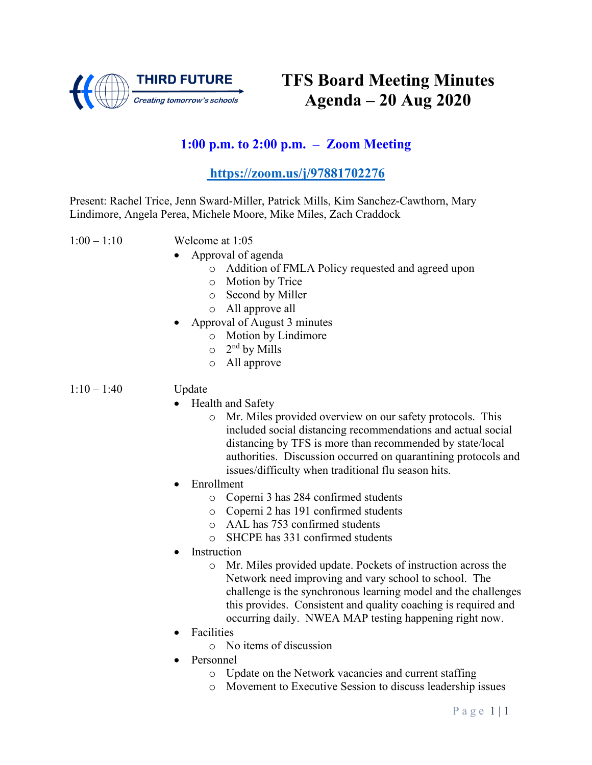

### **1:00 p.m. to 2:00 p.m. – Zoom Meeting**

#### **https://zoom.us/j/97881702276**

Present: Rachel Trice, Jenn Sward-Miller, Patrick Mills, Kim Sanchez-Cawthorn, Mary Lindimore, Angela Perea, Michele Moore, Mike Miles, Zach Craddock

- 1:00 1:10 Welcome at 1:05
	- Approval of agenda
		- o Addition of FMLA Policy requested and agreed upon
		- o Motion by Trice
		- o Second by Miller
		- o All approve all
	- Approval of August 3 minutes
		- o Motion by Lindimore
		- $\circ$  2<sup>nd</sup> by Mills
		- o All approve

#### 1:10 – 1:40 Update

- Health and Safety
	- o Mr. Miles provided overview on our safety protocols. This included social distancing recommendations and actual social distancing by TFS is more than recommended by state/local authorities. Discussion occurred on quarantining protocols and issues/difficulty when traditional flu season hits.
- Enrollment
	- o Coperni 3 has 284 confirmed students
	- o Coperni 2 has 191 confirmed students
	- o AAL has 753 confirmed students
	- o SHCPE has 331 confirmed students
- **Instruction** 
	- o Mr. Miles provided update. Pockets of instruction across the Network need improving and vary school to school. The challenge is the synchronous learning model and the challenges this provides. Consistent and quality coaching is required and occurring daily. NWEA MAP testing happening right now.
- **Facilities** 
	- o No items of discussion
- Personnel
	- o Update on the Network vacancies and current staffing
	- o Movement to Executive Session to discuss leadership issues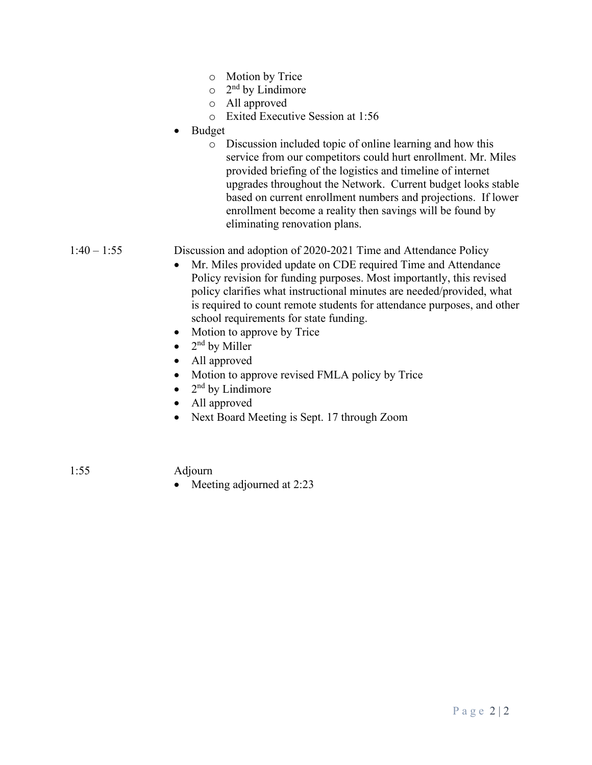- o Motion by Trice
- $\circ$  2<sup>nd</sup> by Lindimore
- o All approved
- o Exited Executive Session at 1:56
- Budget
	- o Discussion included topic of online learning and how this service from our competitors could hurt enrollment. Mr. Miles provided briefing of the logistics and timeline of internet upgrades throughout the Network. Current budget looks stable based on current enrollment numbers and projections. If lower enrollment become a reality then savings will be found by eliminating renovation plans.

1:40 – 1:55 Discussion and adoption of 2020-2021 Time and Attendance Policy

- Mr. Miles provided update on CDE required Time and Attendance Policy revision for funding purposes. Most importantly, this revised policy clarifies what instructional minutes are needed/provided, what is required to count remote students for attendance purposes, and other school requirements for state funding.
- Motion to approve by Trice
- 2<sup>nd</sup> by Miller
- All approved
- Motion to approve revised FMLA policy by Trice
- $2<sup>nd</sup>$  by Lindimore
- All approved
- Next Board Meeting is Sept. 17 through Zoom

1:55 Adjourn

• Meeting adjourned at 2:23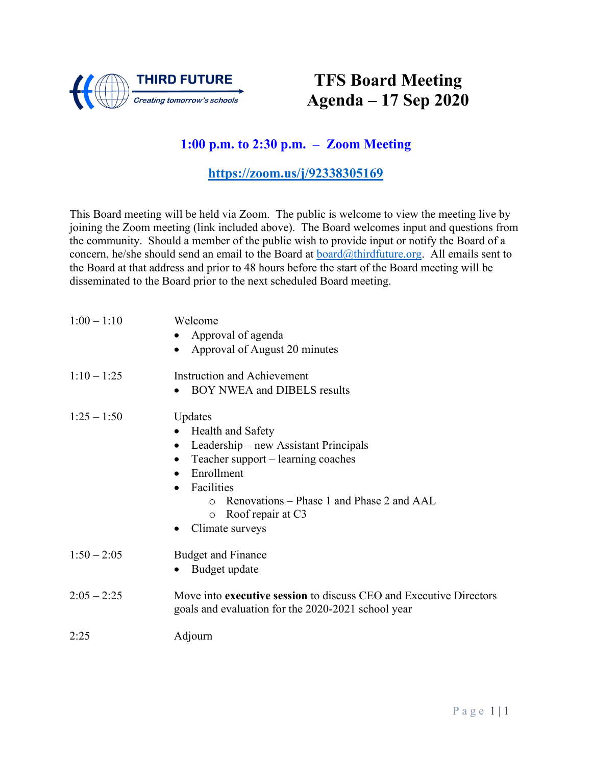

## **TFS Board Meeting Agenda – 17 Sep 2020**

### **1:00 p.m. to 2:30 p.m. – Zoom Meeting**

#### **<https://zoom.us/j/92338305169>**

This Board meeting will be held via Zoom. The public is welcome to view the meeting live by joining the Zoom meeting (link included above). The Board welcomes input and questions from the community. Should a member of the public wish to provide input or notify the Board of a concern, he/she should send an email to the Board at  $\frac{\partial \text{third}}{\partial t}$  board  $\frac{\partial \text{third}}{\partial t}$  All emails sent to the Board at that address and prior to 48 hours before the start of the Board meeting will be disseminated to the Board prior to the next scheduled Board meeting.

| $1:00 - 1:10$ | Welcome<br>Approval of agenda<br>Approval of August 20 minutes                                                                                                                                                                                                    |
|---------------|-------------------------------------------------------------------------------------------------------------------------------------------------------------------------------------------------------------------------------------------------------------------|
| $1:10 - 1:25$ | <b>Instruction and Achievement</b><br><b>BOY NWEA and DIBELS results</b>                                                                                                                                                                                          |
| $1:25 - 1:50$ | Updates<br>Health and Safety<br>Leadership – new Assistant Principals<br>$\bullet$<br>Teacher support - learning coaches<br>$\bullet$<br>Enrollment<br>Facilities<br>Renovations – Phase 1 and Phase 2 and AAL<br>Roof repair at C3<br>$\circ$<br>Climate surveys |
| $1:50 - 2:05$ | <b>Budget and Finance</b><br>Budget update                                                                                                                                                                                                                        |
| $2:05 - 2:25$ | Move into executive session to discuss CEO and Executive Directors<br>goals and evaluation for the 2020-2021 school year                                                                                                                                          |
| 2:25          | Adjourn                                                                                                                                                                                                                                                           |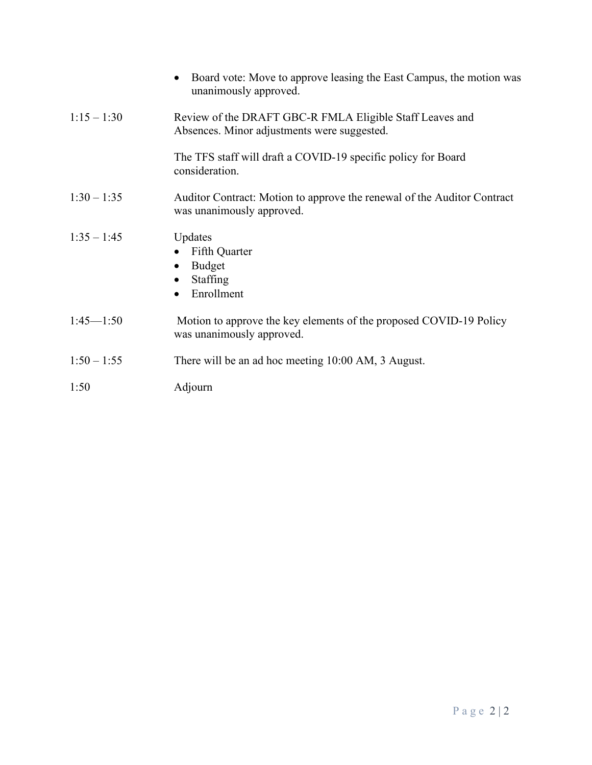|               | Board vote: Move to approve leasing the East Campus, the motion was<br>$\bullet$<br>unanimously approved. |
|---------------|-----------------------------------------------------------------------------------------------------------|
| $1:15 - 1:30$ | Review of the DRAFT GBC-R FMLA Eligible Staff Leaves and<br>Absences. Minor adjustments were suggested.   |
|               | The TFS staff will draft a COVID-19 specific policy for Board<br>consideration.                           |
| $1:30 - 1:35$ | Auditor Contract: Motion to approve the renewal of the Auditor Contract<br>was unanimously approved.      |
| $1:35 - 1:45$ | Updates<br>Fifth Quarter<br>Budget<br>Staffing<br>$\bullet$<br>Enrollment                                 |
| $1:45 - 1:50$ | Motion to approve the key elements of the proposed COVID-19 Policy<br>was unanimously approved.           |
| $1:50 - 1:55$ | There will be an ad hoc meeting 10:00 AM, 3 August.                                                       |
| 1:50          | Adjourn                                                                                                   |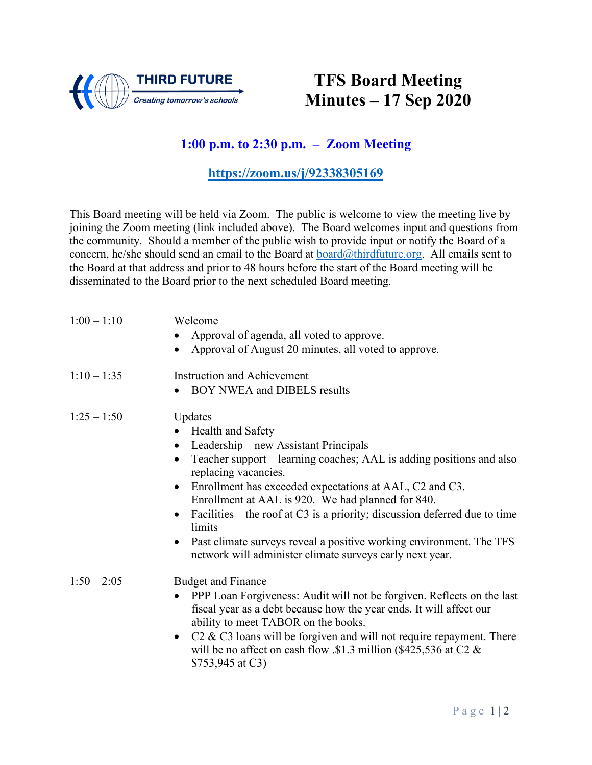

## **TFS Board Meeting Minutes – 17 Sep 2020**

### **1:00 p.m. to 2:30 p.m. – Zoom Meeting**

#### **<https://zoom.us/j/92338305169>**

This Board meeting will be held via Zoom. The public is welcome to view the meeting live by joining the Zoom meeting (link included above). The Board welcomes input and questions from the community. Should a member of the public wish to provide input or notify the Board of a concern, he/she should send an email to the Board at  $\frac{\partial \text{third}}{\partial t}$  board  $\frac{\partial \text{third}}{\partial t}$  All emails sent to the Board at that address and prior to 48 hours before the start of the Board meeting will be disseminated to the Board prior to the next scheduled Board meeting.

| $1:00 - 1:10$ | Welcome<br>Approval of agenda, all voted to approve.<br>Approval of August 20 minutes, all voted to approve.                                                                                                                                                                                                                                                                                                                                                                                                                                                                      |
|---------------|-----------------------------------------------------------------------------------------------------------------------------------------------------------------------------------------------------------------------------------------------------------------------------------------------------------------------------------------------------------------------------------------------------------------------------------------------------------------------------------------------------------------------------------------------------------------------------------|
| $1:10 - 1:35$ | <b>Instruction and Achievement</b><br>BOY NWEA and DIBELS results                                                                                                                                                                                                                                                                                                                                                                                                                                                                                                                 |
| $1:25 - 1:50$ | Updates<br>Health and Safety<br>Leadership - new Assistant Principals<br>$\bullet$<br>Teacher support – learning coaches; AAL is adding positions and also<br>$\bullet$<br>replacing vacancies.<br>Enrollment has exceeded expectations at AAL, C2 and C3.<br>$\bullet$<br>Enrollment at AAL is 920. We had planned for 840.<br>Facilities – the roof at C3 is a priority; discussion deferred due to time<br>$\bullet$<br>limits<br>Past climate surveys reveal a positive working environment. The TFS<br>$\bullet$<br>network will administer climate surveys early next year. |
| $1:50 - 2:05$ | <b>Budget and Finance</b><br>PPP Loan Forgiveness: Audit will not be forgiven. Reflects on the last<br>$\bullet$<br>fiscal year as a debt because how the year ends. It will affect our<br>ability to meet TABOR on the books.<br>$C2 \& C3$ loans will be forgiven and will not require repayment. There<br>$\bullet$<br>will be no affect on cash flow $\text{\$1.3}$ million (\$425,536 at C2 &<br>\$753,945 at C3)                                                                                                                                                            |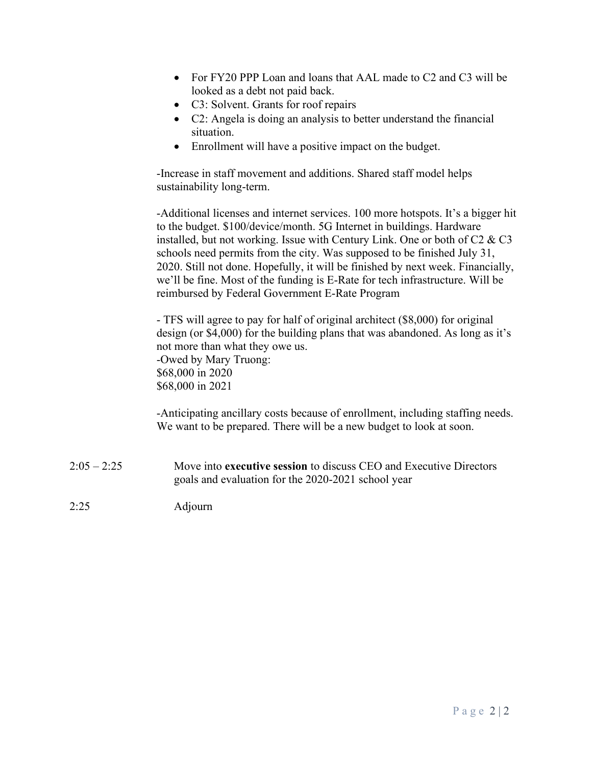- For FY20 PPP Loan and loans that AAL made to C2 and C3 will be looked as a debt not paid back.
- C3: Solvent. Grants for roof repairs
- C2: Angela is doing an analysis to better understand the financial situation.
- Enrollment will have a positive impact on the budget.

-Increase in staff movement and additions. Shared staff model helps sustainability long-term.

-Additional licenses and internet services. 100 more hotspots. It's a bigger hit to the budget. \$100/device/month. 5G Internet in buildings. Hardware installed, but not working. Issue with Century Link. One or both of C2 & C3 schools need permits from the city. Was supposed to be finished July 31, 2020. Still not done. Hopefully, it will be finished by next week. Financially, we'll be fine. Most of the funding is E-Rate for tech infrastructure. Will be reimbursed by Federal Government E-Rate Program

- TFS will agree to pay for half of original architect (\$8,000) for original design (or \$4,000) for the building plans that was abandoned. As long as it's not more than what they owe us. -Owed by Mary Truong: \$68,000 in 2020 \$68,000 in 2021

-Anticipating ancillary costs because of enrollment, including staffing needs. We want to be prepared. There will be a new budget to look at soon.

- 2:05 2:25 Move into **executive session** to discuss CEO and Executive Directors goals and evaluation for the 2020-2021 school year
- 2:25 Adjourn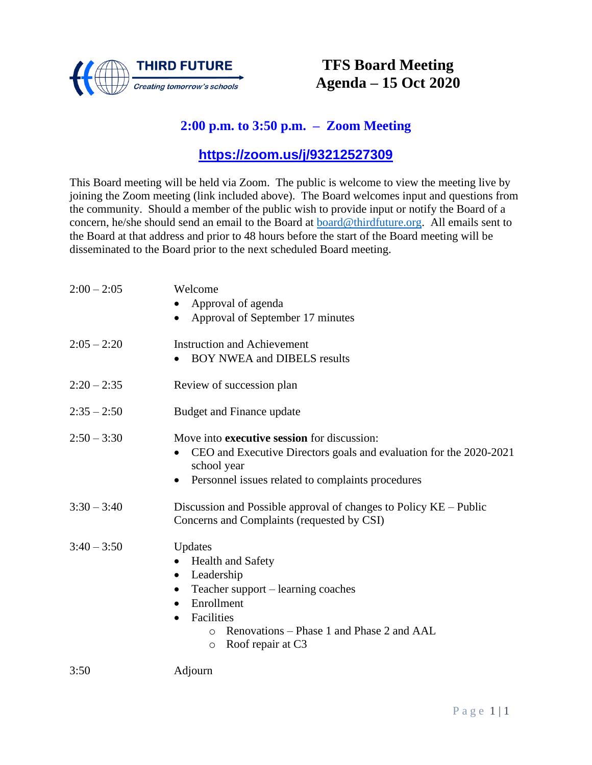

### **TFS Board Meeting Agenda – 15 Oct 2020**

### **2:00 p.m. to 3:50 p.m. – Zoom Meeting**

#### **<https://zoom.us/j/93212527309>**

This Board meeting will be held via Zoom. The public is welcome to view the meeting live by joining the Zoom meeting (link included above). The Board welcomes input and questions from the community. Should a member of the public wish to provide input or notify the Board of a concern, he/she should send an email to the Board at [board@thirdfuture.org.](mailto:board@thirdfuture.org) All emails sent to the Board at that address and prior to 48 hours before the start of the Board meeting will be disseminated to the Board prior to the next scheduled Board meeting.

| $2:00 - 2:05$ | Welcome                                                                           |
|---------------|-----------------------------------------------------------------------------------|
|               | Approval of agenda                                                                |
|               | Approval of September 17 minutes                                                  |
| $2:05 - 2:20$ | <b>Instruction and Achievement</b>                                                |
|               | <b>BOY NWEA and DIBELS results</b>                                                |
| $2:20 - 2:35$ | Review of succession plan                                                         |
| $2:35 - 2:50$ | <b>Budget and Finance update</b>                                                  |
| $2:50 - 3:30$ | Move into <b>executive session</b> for discussion:                                |
|               | CEO and Executive Directors goals and evaluation for the 2020-2021<br>school year |
|               | Personnel issues related to complaints procedures                                 |
| $3:30 - 3:40$ | Discussion and Possible approval of changes to Policy KE – Public                 |
|               | Concerns and Complaints (requested by CSI)                                        |
| $3:40 - 3:50$ | Updates                                                                           |
|               | <b>Health and Safety</b>                                                          |
|               | Leadership<br>$\bullet$                                                           |
|               | Teacher support - learning coaches                                                |
|               | Enrollment<br>$\bullet$                                                           |
|               | Facilities<br>$\bullet$                                                           |
|               | Renovations – Phase 1 and Phase 2 and AAL<br>$\Omega$                             |
|               | Roof repair at C3<br>$\circ$                                                      |
| 3:50          | Adjourn                                                                           |
|               |                                                                                   |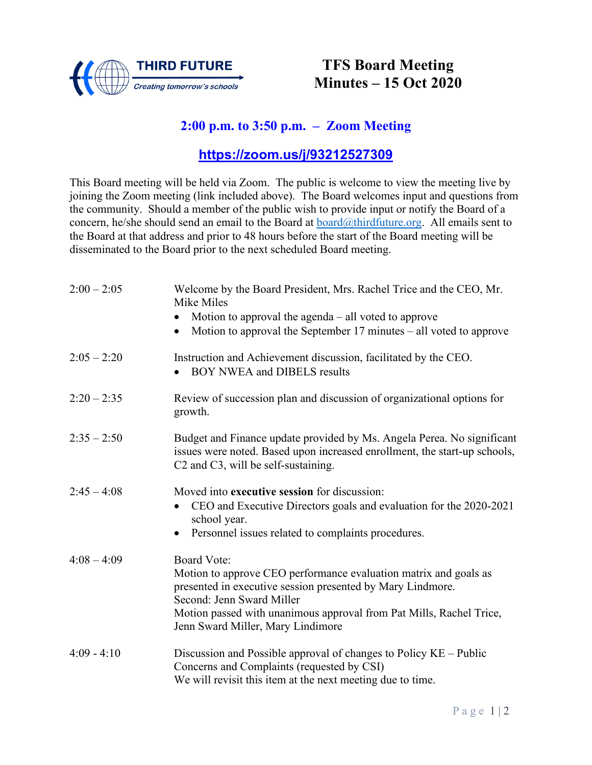

### **TFS Board Meeting Minutes – 15 Oct 2020**

### **2:00 p.m. to 3:50 p.m. – Zoom Meeting**

#### **<https://zoom.us/j/93212527309>**

This Board meeting will be held via Zoom. The public is welcome to view the meeting live by joining the Zoom meeting (link included above). The Board welcomes input and questions from the community. Should a member of the public wish to provide input or notify the Board of a concern, he/she should send an email to the Board at [board@thirdfuture.org.](mailto:board@thirdfuture.org) All emails sent to the Board at that address and prior to 48 hours before the start of the Board meeting will be disseminated to the Board prior to the next scheduled Board meeting.

| $2:00 - 2:05$ | Welcome by the Board President, Mrs. Rachel Trice and the CEO, Mr.<br>Mike Miles                                                                                                                                                                                                              |
|---------------|-----------------------------------------------------------------------------------------------------------------------------------------------------------------------------------------------------------------------------------------------------------------------------------------------|
|               | Motion to approval the agenda $-$ all voted to approve                                                                                                                                                                                                                                        |
|               | Motion to approval the September $17$ minutes – all voted to approve<br>$\bullet$                                                                                                                                                                                                             |
| $2:05 - 2:20$ | Instruction and Achievement discussion, facilitated by the CEO.<br><b>BOY NWEA and DIBELS results</b>                                                                                                                                                                                         |
| $2:20 - 2:35$ | Review of succession plan and discussion of organizational options for<br>growth.                                                                                                                                                                                                             |
| $2:35 - 2:50$ | Budget and Finance update provided by Ms. Angela Perea. No significant<br>issues were noted. Based upon increased enrollment, the start-up schools,<br>C2 and C3, will be self-sustaining.                                                                                                    |
| $2:45 - 4:08$ | Moved into executive session for discussion:<br>CEO and Executive Directors goals and evaluation for the 2020-2021<br>school year.<br>Personnel issues related to complaints procedures.                                                                                                      |
| $4:08 - 4:09$ | <b>Board Vote:</b><br>Motion to approve CEO performance evaluation matrix and goals as<br>presented in executive session presented by Mary Lindmore.<br>Second: Jenn Sward Miller<br>Motion passed with unanimous approval from Pat Mills, Rachel Trice,<br>Jenn Sward Miller, Mary Lindimore |
| $4:09 - 4:10$ | Discussion and Possible approval of changes to Policy KE – Public<br>Concerns and Complaints (requested by CSI)<br>We will revisit this item at the next meeting due to time.                                                                                                                 |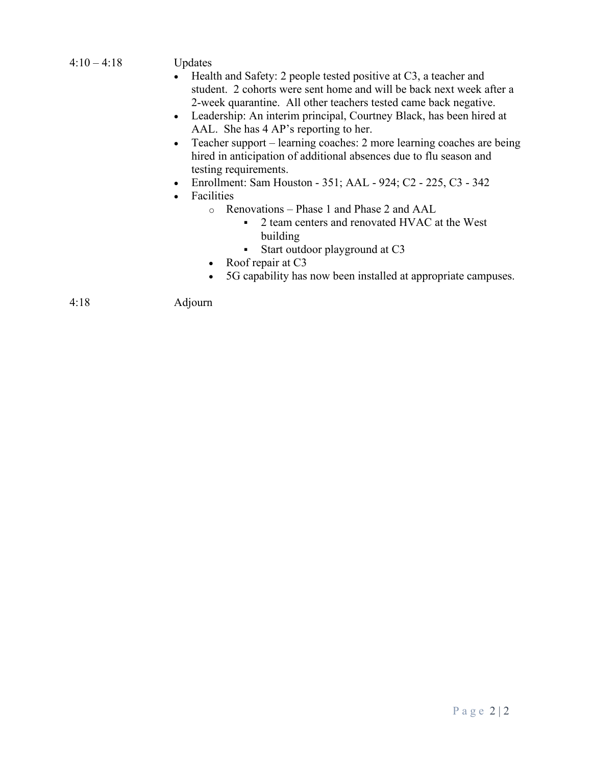#### $4:10 - 4:18$  Updates

- Health and Safety: 2 people tested positive at C3, a teacher and student. 2 cohorts were sent home and will be back next week after a 2-week quarantine. All other teachers tested came back negative.
- Leadership: An interim principal, Courtney Black, has been hired at AAL. She has 4 AP's reporting to her.
- Teacher support learning coaches: 2 more learning coaches are being hired in anticipation of additional absences due to flu season and testing requirements.
- Enrollment: Sam Houston 351; AAL 924; C2 225, C3 342
- **Facilities** 
	- o Renovations Phase 1 and Phase 2 and AAL<br>2 team centers and renovated HVAC a
		- 2 team centers and renovated HVAC at the West building
		- Start outdoor playground at C3
	- Roof repair at C3
	- 5G capability has now been installed at appropriate campuses.

4:18 Adjourn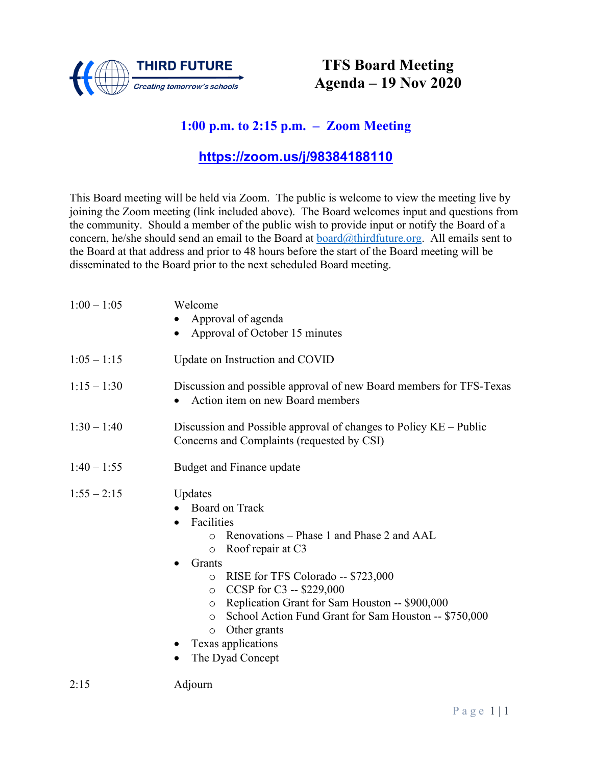

### **TFS Board Meeting Agenda – 19 Nov 2020**

### **1:00 p.m. to 2:15 p.m. – Zoom Meeting**

#### **<https://zoom.us/j/98384188110>**

This Board meeting will be held via Zoom. The public is welcome to view the meeting live by joining the Zoom meeting (link included above). The Board welcomes input and questions from the community. Should a member of the public wish to provide input or notify the Board of a concern, he/she should send an email to the Board at [board@thirdfuture.org.](mailto:board@thirdfuture.org) All emails sent to the Board at that address and prior to 48 hours before the start of the Board meeting will be disseminated to the Board prior to the next scheduled Board meeting.

| $1:00 - 1:05$ | Welcome<br>Approval of agenda                                                                                                                                                                                                                                                                                                                                                                                                                                     |
|---------------|-------------------------------------------------------------------------------------------------------------------------------------------------------------------------------------------------------------------------------------------------------------------------------------------------------------------------------------------------------------------------------------------------------------------------------------------------------------------|
|               | Approval of October 15 minutes<br>$\bullet$                                                                                                                                                                                                                                                                                                                                                                                                                       |
| $1:05 - 1:15$ | Update on Instruction and COVID                                                                                                                                                                                                                                                                                                                                                                                                                                   |
| $1:15 - 1:30$ | Discussion and possible approval of new Board members for TFS-Texas<br>Action item on new Board members                                                                                                                                                                                                                                                                                                                                                           |
| $1:30 - 1:40$ | Discussion and Possible approval of changes to Policy KE – Public<br>Concerns and Complaints (requested by CSI)                                                                                                                                                                                                                                                                                                                                                   |
| $1:40 - 1:55$ | Budget and Finance update                                                                                                                                                                                                                                                                                                                                                                                                                                         |
| $1:55 - 2:15$ | Updates<br>Board on Track<br>Facilities<br>$\bullet$<br>Renovations – Phase 1 and Phase 2 and AAL<br>$\circ$<br>Roof repair at C3<br>$\circ$<br>Grants<br>RISE for TFS Colorado -- \$723,000<br>$\circ$<br>CCSP for C3 -- \$229,000<br>$\circ$<br>Replication Grant for Sam Houston -- \$900,000<br>$\circ$<br>School Action Fund Grant for Sam Houston -- \$750,000<br>$\circ$<br>Other grants<br>$\circ$<br>Texas applications<br>The Dyad Concept<br>$\bullet$ |
| 2:15          | Adjourn                                                                                                                                                                                                                                                                                                                                                                                                                                                           |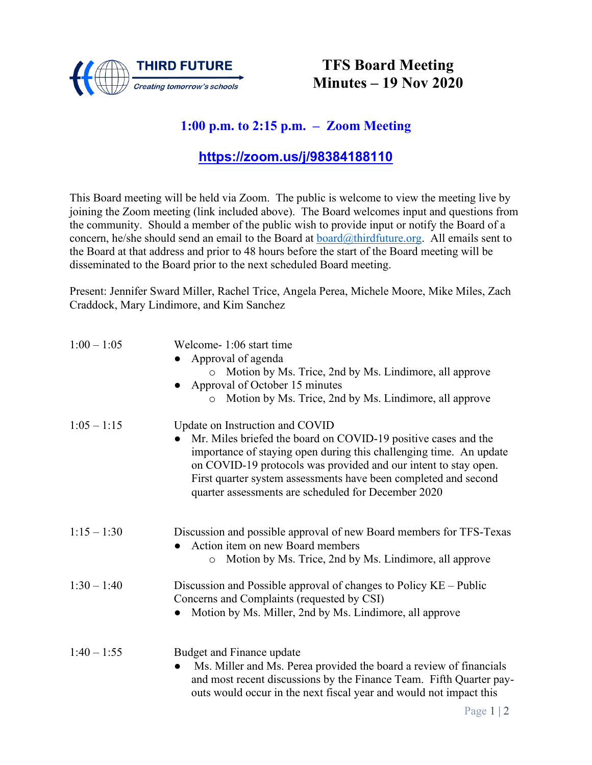

### **TFS Board Meeting Minutes – 19 Nov 2020**

### **1:00 p.m. to 2:15 p.m. – Zoom Meeting**

### **[https://zoom.us/j/98384188110](about:blank)**

This Board meeting will be held via Zoom. The public is welcome to view the meeting live by joining the Zoom meeting (link included above). The Board welcomes input and questions from the community. Should a member of the public wish to provide input or notify the Board of a concern, he/she should send an email to the Board at [board@thirdfuture.org.](about:blank) All emails sent to the Board at that address and prior to 48 hours before the start of the Board meeting will be disseminated to the Board prior to the next scheduled Board meeting.

Present: Jennifer Sward Miller, Rachel Trice, Angela Perea, Michele Moore, Mike Miles, Zach Craddock, Mary Lindimore, and Kim Sanchez

| $1:00 - 1:05$ | Welcome-1:06 start time<br>Approval of agenda<br>Motion by Ms. Trice, 2nd by Ms. Lindimore, all approve<br>Approval of October 15 minutes<br>Motion by Ms. Trice, 2nd by Ms. Lindimore, all approve<br>$\circ$                                                                                                                                                       |
|---------------|----------------------------------------------------------------------------------------------------------------------------------------------------------------------------------------------------------------------------------------------------------------------------------------------------------------------------------------------------------------------|
| $1:05 - 1:15$ | Update on Instruction and COVID<br>Mr. Miles briefed the board on COVID-19 positive cases and the<br>importance of staying open during this challenging time. An update<br>on COVID-19 protocols was provided and our intent to stay open.<br>First quarter system assessments have been completed and second<br>quarter assessments are scheduled for December 2020 |
| $1:15 - 1:30$ | Discussion and possible approval of new Board members for TFS-Texas<br>Action item on new Board members<br>Motion by Ms. Trice, 2nd by Ms. Lindimore, all approve<br>$\circ$                                                                                                                                                                                         |
| $1:30 - 1:40$ | Discussion and Possible approval of changes to Policy KE – Public<br>Concerns and Complaints (requested by CSI)<br>Motion by Ms. Miller, 2nd by Ms. Lindimore, all approve                                                                                                                                                                                           |
| $1:40 - 1:55$ | Budget and Finance update<br>Ms. Miller and Ms. Perea provided the board a review of financials<br>$\bullet$<br>and most recent discussions by the Finance Team. Fifth Quarter pay-<br>outs would occur in the next fiscal year and would not impact this                                                                                                            |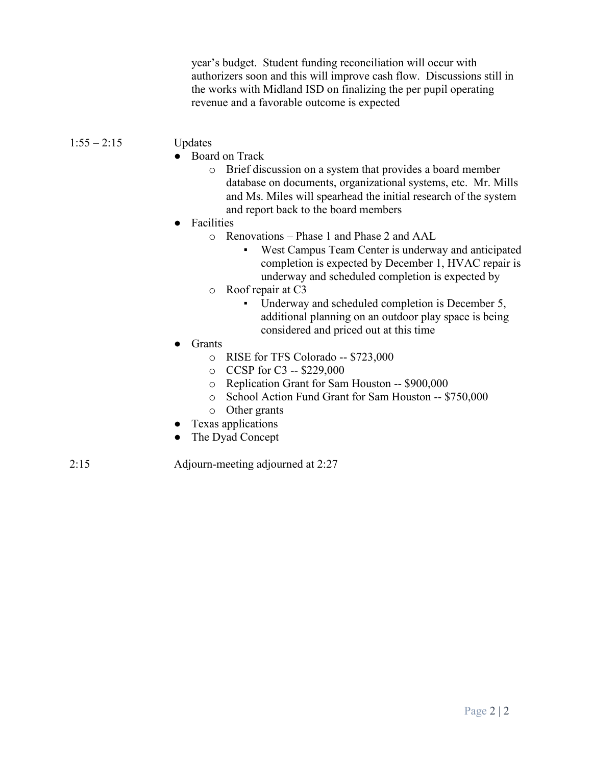year's budget. Student funding reconciliation will occur with authorizers soon and this will improve cash flow. Discussions still in the works with Midland ISD on finalizing the per pupil operating revenue and a favorable outcome is expected

#### 1:55 – 2:15 Updates

- Board on Track
	- o Brief discussion on a system that provides a board member database on documents, organizational systems, etc. Mr. Mills and Ms. Miles will spearhead the initial research of the system and report back to the board members
- **Facilities** 
	- o Renovations Phase 1 and Phase 2 and AAL
		- West Campus Team Center is underway and anticipated completion is expected by December 1, HVAC repair is underway and scheduled completion is expected by
	- o Roof repair at C3
		- Underway and scheduled completion is December 5, additional planning on an outdoor play space is being considered and priced out at this time
- **Grants** 
	- o RISE for TFS Colorado -- \$723,000
	- o CCSP for C3 -- \$229,000
	- o Replication Grant for Sam Houston -- \$900,000
	- o School Action Fund Grant for Sam Houston -- \$750,000
	- o Other grants
- Texas applications
- The Dyad Concept

2:15 Adjourn-meeting adjourned at 2:27